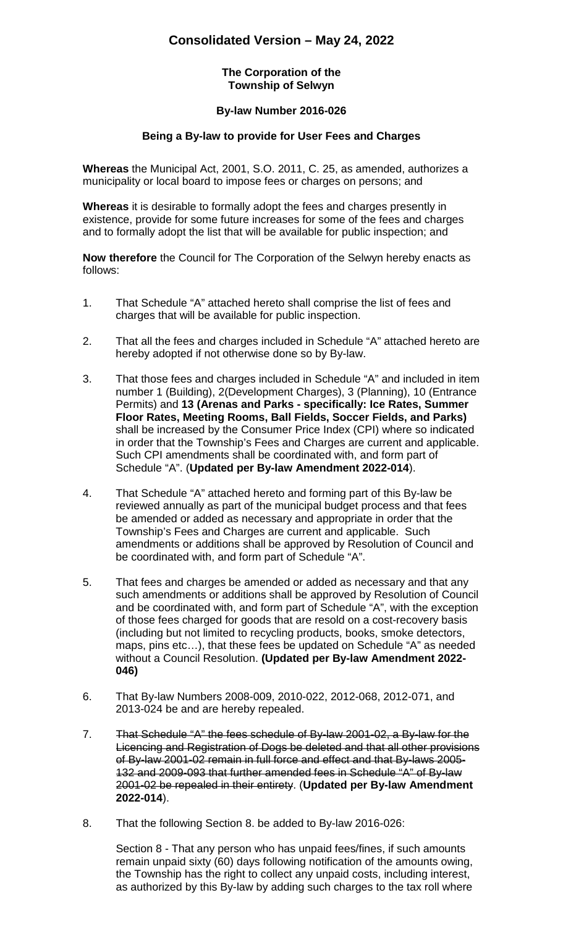## **Consolidated Version – May 24, 2022**

#### **The Corporation of the Township of Selwyn**

### **By-law Number 2016-026**

### **Being a By-law to provide for User Fees and Charges**

**Whereas** the Municipal Act, 2001, S.O. 2011, C. 25, as amended, authorizes a municipality or local board to impose fees or charges on persons; and

**Whereas** it is desirable to formally adopt the fees and charges presently in existence, provide for some future increases for some of the fees and charges and to formally adopt the list that will be available for public inspection; and

**Now therefore** the Council for The Corporation of the Selwyn hereby enacts as follows:

- 1. That Schedule "A" attached hereto shall comprise the list of fees and charges that will be available for public inspection.
- 2. That all the fees and charges included in Schedule "A" attached hereto are hereby adopted if not otherwise done so by By-law.
- 3. That those fees and charges included in Schedule "A" and included in item number 1 (Building), 2(Development Charges), 3 (Planning), 10 (Entrance Permits) and **13 (Arenas and Parks - specifically: Ice Rates, Summer Floor Rates, Meeting Rooms, Ball Fields, Soccer Fields, and Parks)** shall be increased by the Consumer Price Index (CPI) where so indicated in order that the Township's Fees and Charges are current and applicable. Such CPI amendments shall be coordinated with, and form part of Schedule "A". (**Updated per By-law Amendment 2022-014**).
- 4. That Schedule "A" attached hereto and forming part of this By-law be reviewed annually as part of the municipal budget process and that fees be amended or added as necessary and appropriate in order that the Township's Fees and Charges are current and applicable. Such amendments or additions shall be approved by Resolution of Council and be coordinated with, and form part of Schedule "A".
- 5. That fees and charges be amended or added as necessary and that any such amendments or additions shall be approved by Resolution of Council and be coordinated with, and form part of Schedule "A", with the exception of those fees charged for goods that are resold on a cost-recovery basis (including but not limited to recycling products, books, smoke detectors, maps, pins etc…), that these fees be updated on Schedule "A" as needed without a Council Resolution. **(Updated per By-law Amendment 2022- 046)**
- 6. That By-law Numbers 2008-009, 2010-022, 2012-068, 2012-071, and 2013-024 be and are hereby repealed.
- 7. That Schedule "A" the fees schedule of By-law 2001-02, a By-law for the Licencing and Registration of Dogs be deleted and that all other provisions of By-law 2001-02 remain in full force and effect and that By-laws 2005- 132 and 2009-093 that further amended fees in Schedule "A" of By-law 2001-02 be repealed in their entirety. (**Updated per By-law Amendment 2022-014**).
- 8. That the following Section 8. be added to By-law 2016-026:

Section 8 - That any person who has unpaid fees/fines, if such amounts remain unpaid sixty (60) days following notification of the amounts owing, the Township has the right to collect any unpaid costs, including interest, as authorized by this By-law by adding such charges to the tax roll where